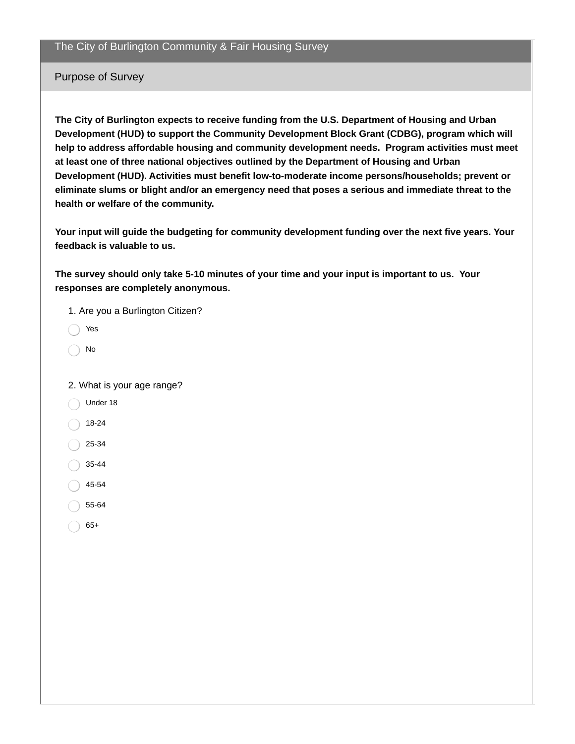The City of Burlington Community & Fair Housing Survey

Purpose of Survey

**The City of Burlington expects to receive funding from the U.S. Department of Housing and Urban Development (HUD) to support the Community Development Block Grant (CDBG), program which will help to address affordable housing and community development needs. Program activities must meet at least one of three national objectives outlined by the Department of Housing and Urban Development (HUD). Activities must benefit low-to-moderate income persons/households; prevent or eliminate slums or blight and/or an emergency need that poses a serious and immediate threat to the health or welfare of the community.**

**Your input will guide the budgeting for community development funding over the next five years. Your feedback is valuable to us.**

**The survey should only take 5-10 minutes of your time and your input is important to us. Your responses are completely anonymous.**

1. Are you a Burlington Citizen? Yes No 2. What is your age range? Under 18 18-24 25-34 35-44 45-54 55-64

65+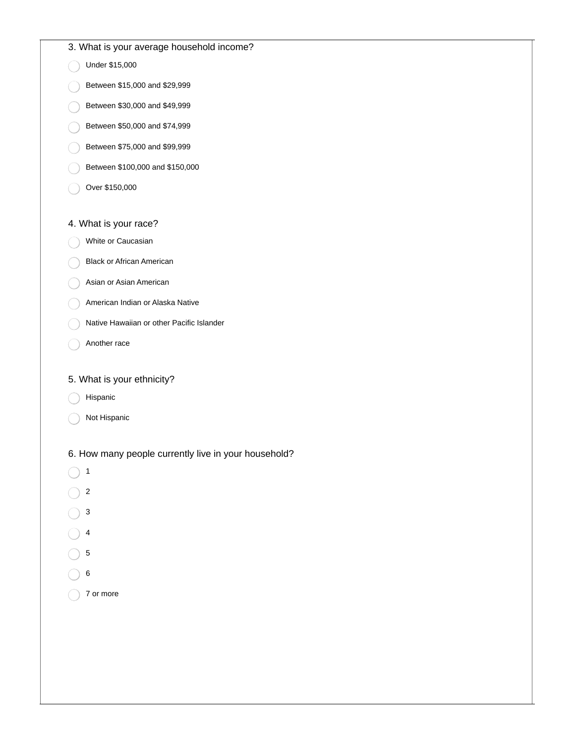|  |  |  |  |  | 3. What is your average household income? |  |
|--|--|--|--|--|-------------------------------------------|--|
|--|--|--|--|--|-------------------------------------------|--|

Under \$15,000

- Between \$15,000 and \$29,999
- Between \$30,000 and \$49,999
- Between \$50,000 and \$74,999
- Between \$75,000 and \$99,999
- Between \$100,000 and \$150,000
- Over \$150,000

## 4. What is your race?

- White or Caucasian
- Black or African American
- Asian or Asian American
- American Indian or Alaska Native
- Native Hawaiian or other Pacific Islander
- Another race

## 5. What is your ethnicity?

- Hispanic
- Not Hispanic

6. How many people currently live in your household?

- $\bigcap$  1
- $\bigcap$  2
- $\bigcirc$  3
- $\bigcirc$  4
- 5
- 
- 6
- 7 or more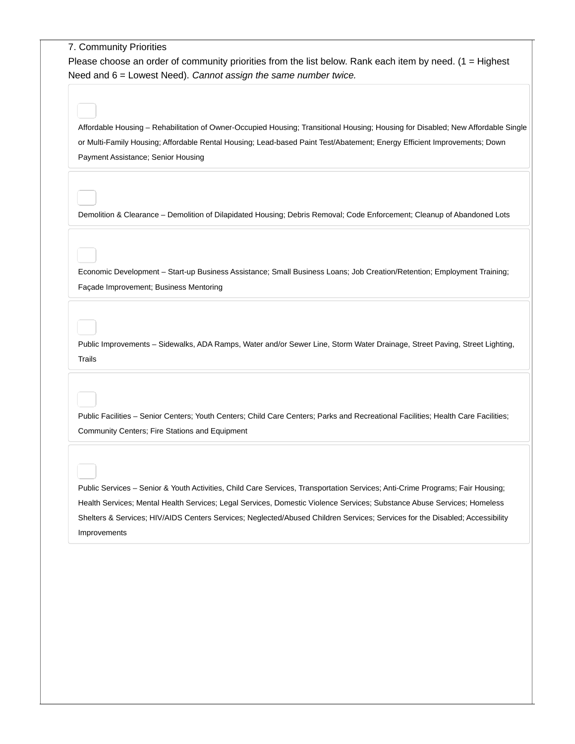7. Community Priorities Please choose an order of community priorities from the list below. Rank each item by need.  $(1 = H\text{i}\text{g}$  hest Need and 6 = Lowest Need). *Cannot assign the same number twice.* Affordable Housing – Rehabilitation of Owner-Occupied Housing; Transitional Housing; Housing for Disabled; New Affordable Single or Multi-Family Housing; Affordable Rental Housing; Lead-based Paint Test/Abatement; Energy Efficient Improvements; Down Payment Assistance; Senior Housing Demolition & Clearance – Demolition of Dilapidated Housing; Debris Removal; Code Enforcement; Cleanup of Abandoned Lots Economic Development – Start-up Business Assistance; Small Business Loans; Job Creation/Retention; Employment Training; Façade Improvement; Business Mentoring Public Improvements – Sidewalks, ADA Ramps, Water and/or Sewer Line, Storm Water Drainage, Street Paving, Street Lighting, Trails Public Facilities – Senior Centers; Youth Centers; Child Care Centers; Parks and Recreational Facilities; Health Care Facilities; Community Centers; Fire Stations and Equipment Public Services – Senior & Youth Activities, Child Care Services, Transportation Services; Anti-Crime Programs; Fair Housing; Health Services; Mental Health Services; Legal Services, Domestic Violence Services; Substance Abuse Services; Homeless Shelters & Services; HIV/AIDS Centers Services; Neglected/Abused Children Services; Services for the Disabled; Accessibility Improvements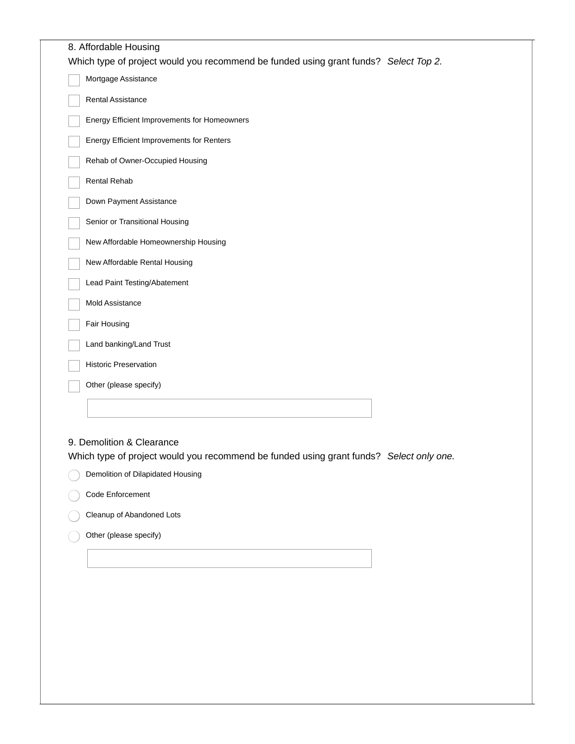| 8. Affordable Housing<br>Which type of project would you recommend be funded using grant funds? Select Top 2.        |
|----------------------------------------------------------------------------------------------------------------------|
| Mortgage Assistance                                                                                                  |
| Rental Assistance                                                                                                    |
| Energy Efficient Improvements for Homeowners                                                                         |
| Energy Efficient Improvements for Renters                                                                            |
| Rehab of Owner-Occupied Housing                                                                                      |
| Rental Rehab                                                                                                         |
| Down Payment Assistance                                                                                              |
| Senior or Transitional Housing                                                                                       |
| New Affordable Homeownership Housing                                                                                 |
| New Affordable Rental Housing                                                                                        |
| Lead Paint Testing/Abatement                                                                                         |
| <b>Mold Assistance</b>                                                                                               |
| Fair Housing                                                                                                         |
| Land banking/Land Trust                                                                                              |
| <b>Historic Preservation</b>                                                                                         |
| Other (please specify)                                                                                               |
|                                                                                                                      |
| 9. Demolition & Clearance<br>Which type of project would you recommend be funded using grant funds? Select only one. |
| Demolition of Dilapidated Housing                                                                                    |
| Code Enforcement                                                                                                     |
| Cleanup of Abandoned Lots                                                                                            |
| Other (please specify)                                                                                               |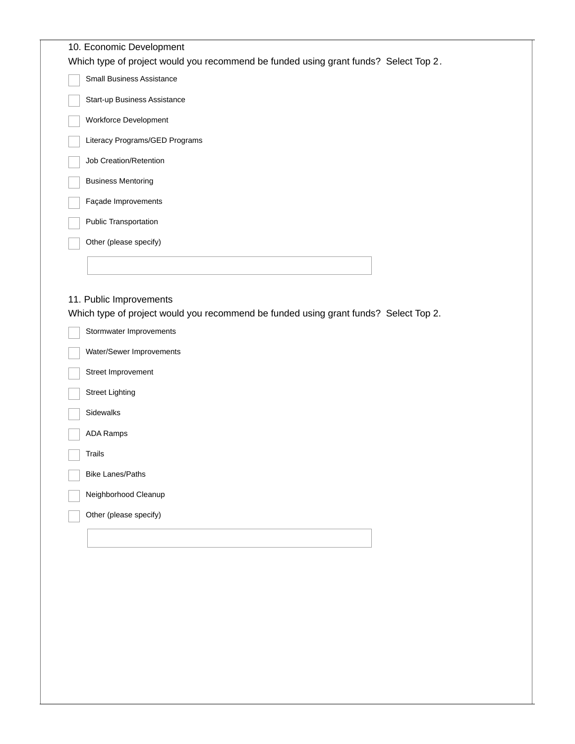|        | 10. Economic Development                                                                                                                   |
|--------|--------------------------------------------------------------------------------------------------------------------------------------------|
|        | Which type of project would you recommend be funded using grant funds? Select Top 2.                                                       |
|        | Small Business Assistance                                                                                                                  |
|        | Start-up Business Assistance                                                                                                               |
|        | Workforce Development                                                                                                                      |
|        | Literacy Programs/GED Programs                                                                                                             |
|        | Job Creation/Retention                                                                                                                     |
|        | <b>Business Mentoring</b>                                                                                                                  |
|        | Façade Improvements                                                                                                                        |
|        | Public Transportation                                                                                                                      |
|        | Other (please specify)                                                                                                                     |
|        |                                                                                                                                            |
|        | 11. Public Improvements<br>Which type of project would you recommend be funded using grant funds? Select Top 2.<br>Stormwater Improvements |
|        | Water/Sewer Improvements                                                                                                                   |
|        | Street Improvement                                                                                                                         |
|        | <b>Street Lighting</b>                                                                                                                     |
|        | Sidewalks                                                                                                                                  |
|        | <b>ADA Ramps</b>                                                                                                                           |
| Trails |                                                                                                                                            |
|        | <b>Bike Lanes/Paths</b>                                                                                                                    |
|        |                                                                                                                                            |
|        | Neighborhood Cleanup                                                                                                                       |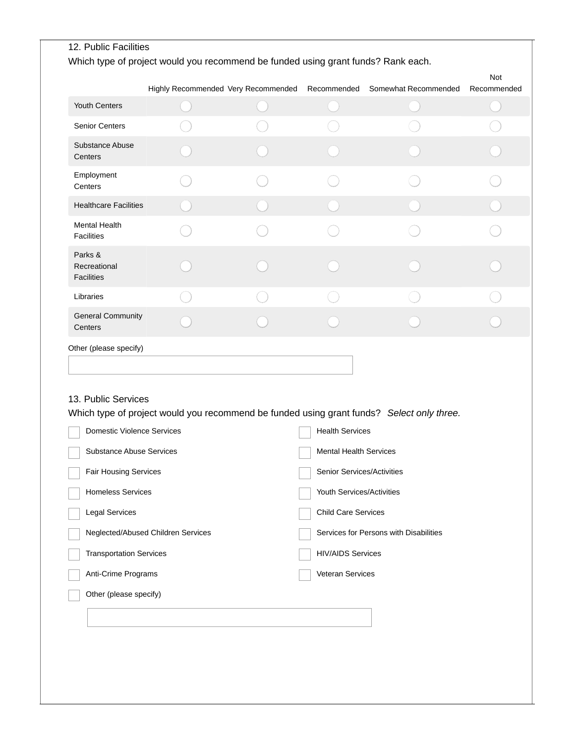| Neglected/Abused Children Services |                                                               |  |  |                                                                                                                                                                                                                                                                                                                                  |  |  |
|------------------------------------|---------------------------------------------------------------|--|--|----------------------------------------------------------------------------------------------------------------------------------------------------------------------------------------------------------------------------------------------------------------------------------------------------------------------------------|--|--|
|                                    |                                                               |  |  |                                                                                                                                                                                                                                                                                                                                  |  |  |
|                                    |                                                               |  |  |                                                                                                                                                                                                                                                                                                                                  |  |  |
|                                    |                                                               |  |  |                                                                                                                                                                                                                                                                                                                                  |  |  |
|                                    |                                                               |  |  |                                                                                                                                                                                                                                                                                                                                  |  |  |
|                                    | Domestic Violence Services<br><b>Substance Abuse Services</b> |  |  | Which type of project would you recommend be funded using grant funds? Select only three.<br><b>Health Services</b><br><b>Mental Health Services</b><br>Senior Services/Activities<br>Youth Services/Activities<br>Child Care Services<br>Services for Persons with Disabilities<br><b>HIV/AIDS Services</b><br>Veteran Services |  |  |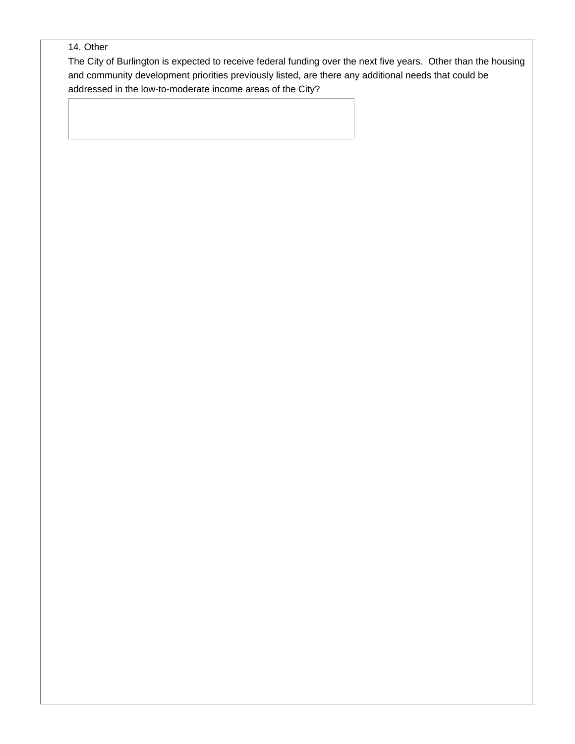## 14. Other

The City of Burlington is expected to receive federal funding over the next five years. Other than the housing and community development priorities previously listed, are there any additional needs that could be addressed in the low-to-moderate income areas of the City?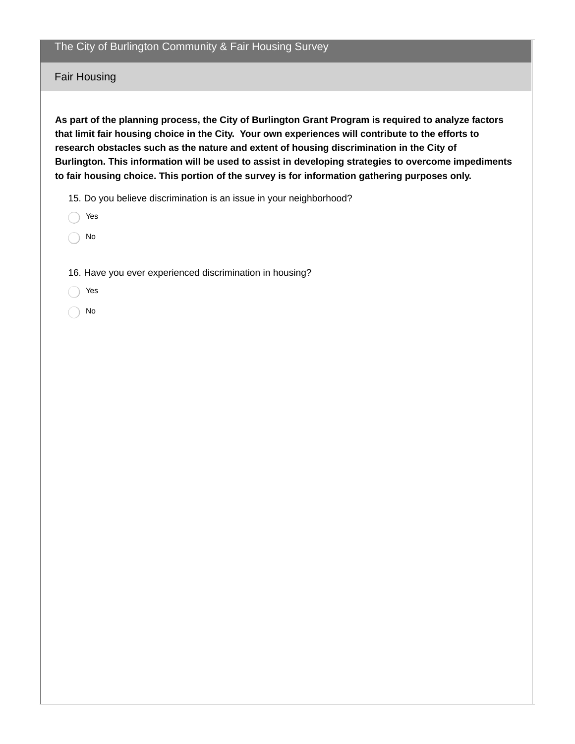## The City of Burlington Community & Fair Housing Survey

Fair Housing

**As part of the planning process, the City of Burlington Grant Program is required to analyze factors that limit fair housing choice in the City. Your own experiences will contribute to the efforts to research obstacles such as the nature and extent of housing discrimination in the City of Burlington. This information will be used to assist in developing strategies to overcome impediments to fair housing choice. This portion of the survey is for information gathering purposes only.**

15. Do you believe discrimination is an issue in your neighborhood?

- Yes
- No

16. Have you ever experienced discrimination in housing?

- Yes
- No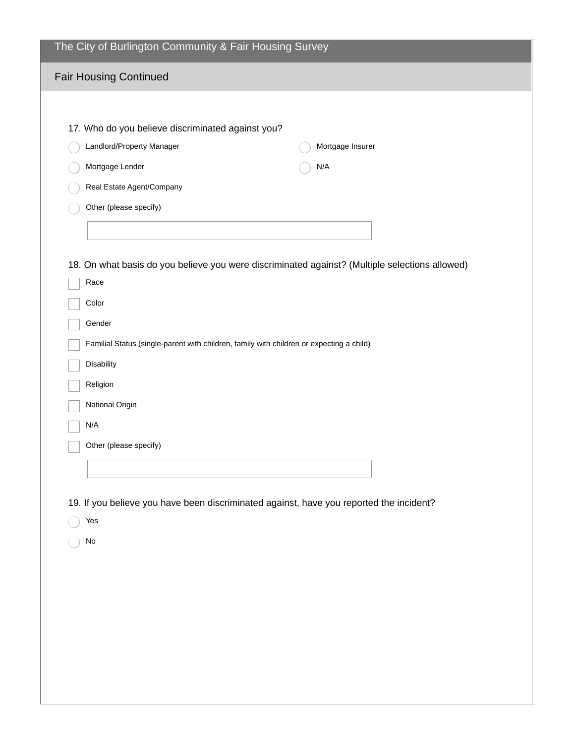| The City of Burlington Community & Fair Housing Survey                                                 |
|--------------------------------------------------------------------------------------------------------|
| <b>Fair Housing Continued</b>                                                                          |
|                                                                                                        |
| 17. Who do you believe discriminated against you?                                                      |
| Landlord/Property Manager<br>Mortgage Insurer                                                          |
| Mortgage Lender<br>N/A                                                                                 |
| Real Estate Agent/Company                                                                              |
| Other (please specify)                                                                                 |
|                                                                                                        |
|                                                                                                        |
| 18. On what basis do you believe you were discriminated against? (Multiple selections allowed)<br>Race |
| Color                                                                                                  |
| Gender                                                                                                 |
| Familial Status (single-parent with children, family with children or expecting a child)               |
| Disability                                                                                             |
| Religion                                                                                               |
| National Origin                                                                                        |
| N/A                                                                                                    |
| Other (please specify)                                                                                 |
|                                                                                                        |
|                                                                                                        |
| 19. If you believe you have been discriminated against, have you reported the incident?<br>Yes         |
| No                                                                                                     |
|                                                                                                        |
|                                                                                                        |
|                                                                                                        |
|                                                                                                        |
|                                                                                                        |
|                                                                                                        |
|                                                                                                        |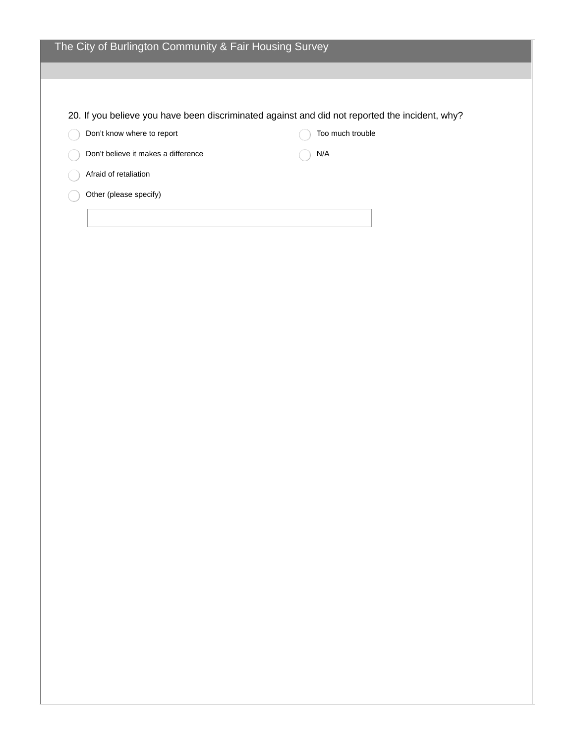|                                     | 20. If you believe you have been discriminated against and did not reported the incident, why? |  |
|-------------------------------------|------------------------------------------------------------------------------------------------|--|
| Don't know where to report          | Too much trouble                                                                               |  |
| Don't believe it makes a difference | N/A                                                                                            |  |
| Afraid of retaliation               |                                                                                                |  |
| Other (please specify)              |                                                                                                |  |
|                                     |                                                                                                |  |
|                                     |                                                                                                |  |